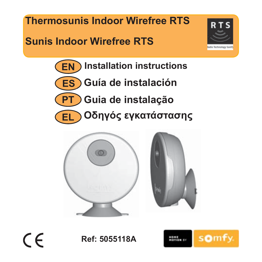**Thermosunis Indoor Wirefree RTS**

# **Sunis Indoor Wirefree RTS**



**EN Installation instructions**



**PT Guia de instalação**

**Οδηγός εγκατάστασης EL**





 $\epsilon$ 

**Ref: 5055118A**

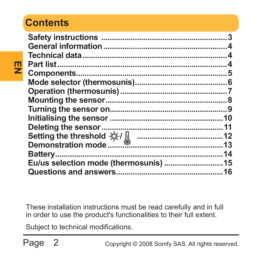# **Contents**

**EN** 

| Setting the threshold $\frac{1}{2}$ $\frac{1}{2}$<br>Demonstration mode |  |
|-------------------------------------------------------------------------|--|
|                                                                         |  |
|                                                                         |  |
|                                                                         |  |
|                                                                         |  |

These installation instructions must be read carefully and in full in order to use the product's functionalities to their full extent.

Subject to technical modifications.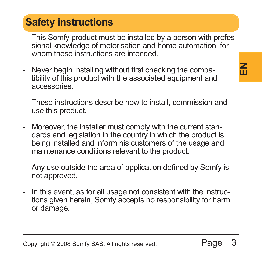# **Safety instructions**

- This Somfy product must be installed by a person with professional knowledge of motorisation and home automation, for whom these instructions are intended.
- Never begin installing without first checking the compatibility of this product with the associated equipment and accessories.
- These instructions describe how to install, commission and use this product.
- Moreover, the installer must comply with the current standards and legislation in the country in which the product is being installed and inform his customers of the usage and maintenance conditions relevant to the product.
- Any use outside the area of application defined by Somfy is not approved.
- In this event, as for all usage not consistent with the instructions given herein. Somfy accepts no responsibility for harm or damage.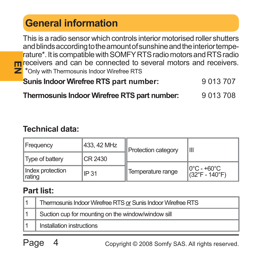# **General information**

**EN ICE CONFIDENT CONFIDENTS**<br> **Z** \*Only with Thermosunis Indoor Wirefree RTS This is a radio sensor which controls interior motorised roller shutters and blinds according to the amount of sunshine and the interior temperature\*. It is compatible with SOMFY RTS radio motors and RTS radio receivers and can be connected to several motors and receivers.

**Sunis Indoor Wirefree RTS part number:** 9 013 707

**Thermosunis Indoor Wirefree RTS part number:** 9 013 708

#### **Technical data:**

| Frequency                  | 433, 42 MHz | Protection category | Ш                                              |  |
|----------------------------|-------------|---------------------|------------------------------------------------|--|
| Type of battery            | CR 2430     |                     |                                                |  |
| Index protection<br>rating | IP 31       | Temperature range   | l0°C - +60°C<br>$(32^{\circ}F - 140^{\circ}F)$ |  |

#### **Part list:**

| Thermosunis Indoor Wirefree RTS or Sunis Indoor Wirefree RTS |
|--------------------------------------------------------------|
| Suction cup for mounting on the window/window sill           |
| Installation instructions                                    |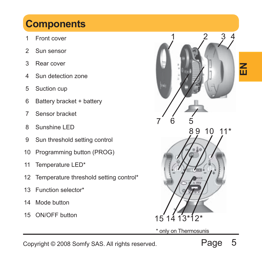# **Components**

- 1 Front cover
- 2 Sun sensor
- 3 Rear cover
- 4 Sun detection zone
- 5 Suction cup
- 6 Battery bracket + battery
- 7 Sensor bracket
- 8 Sunshine LED
- 9 Sun threshold setting control
- 10 Programming button (PROG)
- 11 Temperature LED\*
- 12 Temperature threshold setting control\*
- 13 Function selector\*
- 14 Mode button
- 15 ON/OFF button



\* only on Thermosunis

Copyright © 2008 Somfy SAS. All rights reserved.

Page 5

**EN**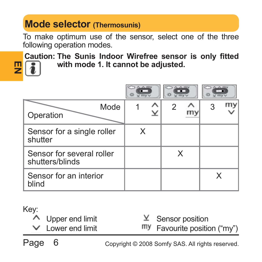# **Mode selector (Thermosunis)**

To make optimum use of the sensor, select one of the three following operation modes.

**Caution: The Sunis Indoor Wirefree sensor is only fitted** 



**with mode 1. It cannot be adjusted.**

| Mode<br>Operation                            |   |   |  |
|----------------------------------------------|---|---|--|
| Sensor for a single roller<br>shutter        | х |   |  |
| Sensor for several roller<br>shutters/blinds |   | x |  |
| Sensor for an interior<br>blind              |   |   |  |

#### Key:

| ∧ Upper end limit      | $Y$ Sensor position          |
|------------------------|------------------------------|
| $\vee$ Lower end limit | my Favourite position ("my") |
|                        |                              |

Page 6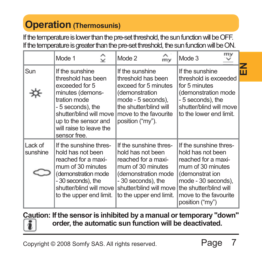# **Operation (Thermosunis)**

If the temperature is lower than the pre-set threshold, the sun function will be OFF. If the temperature is greater than the pre-set threshold, the sun function will be ON.

|                     | ⇪<br>Mode 1                                                                                                                                                                                                    | Mode 2<br>$\ddot{m}$                                                                                                                                                                       | my<br>Mode 3                                                                                                                                                                                            |   |
|---------------------|----------------------------------------------------------------------------------------------------------------------------------------------------------------------------------------------------------------|--------------------------------------------------------------------------------------------------------------------------------------------------------------------------------------------|---------------------------------------------------------------------------------------------------------------------------------------------------------------------------------------------------------|---|
| Sun                 | If the sunshine<br>threshold has been<br>exceeded for 5<br>minutes (demons-<br>tration mode<br>- 5 seconds), the<br>shutter/blind will move<br>up to the sensor and<br>will raise to leave the<br>sensor free. | If the sunshine<br>threshold has been<br>exceed for 5 minutes<br>(demonstration<br>mode - 5 seconds).<br>the shutter/blind will<br>move to the favourite<br>position ("my").               | If the sunshine<br>threshold is exceeded<br>for 5 minutes<br>(demonstration mode<br>- 5 seconds), the<br>shutter/blind will move<br>to the lower end limit.                                             | ш |
| Lack of<br>sunshine | If the sunshine thres-<br>hold has not been<br>reached for a maxi-<br>mum of 30 minutes<br>(demonstration mode<br>-30 seconds), the<br>shutter/blind will move<br>to the upper end limit.                      | If the sunshine thres-<br>hold has not been<br>reached for a maxi-<br>mum of 30 minutes<br>(demonstration mode<br>- 30 seconds), the<br>shutter/blind will move<br>to the upper end limit. | If the sunshine thres-<br>hold has not been<br>reached for a maxi-<br>mum of 30 minutes<br>(demonstrat ion<br>mode - 30 seconds),<br>the shutter/blind will<br>move to the favourite<br>position ("my") |   |

**Caution: If the sensor is inhibited by a manual or temporary "down" order, the automatic sun function will be deactivated.** i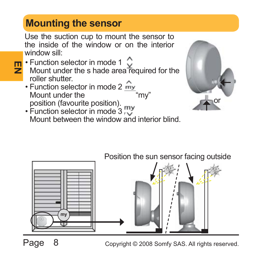# **Mounting the sensor**

Use the suction cup to mount the sensor to the inside of the window or on the interior window sill:

- **EX Function selector in mode 1**<br> **EX** Mount under the s hade area Mount under the s hade area required for the roller shutter.
	- Function selector in mode 2 my Mount under the position (favourite position).
	- Function selector in mode 3 Mount between the window and interior blind.



# **my** Position the sun sensor facing outside

Page 8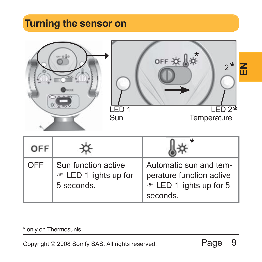# **Turning the sensor on**





| OFF |                                                            |                                                                                           |
|-----|------------------------------------------------------------|-------------------------------------------------------------------------------------------|
| OFF | Sun function active<br>☞ LED 1 lights up for<br>5 seconds. | Automatic sun and tem-<br>perature function active<br>☞ LED 1 lights up for 5<br>seconds. |

\* only on Thermosunis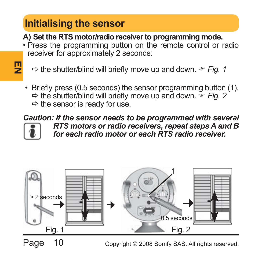# **Initialising the sensor**

**EN** 

**A) Set the RTS motor/radio receiver to programming mode.**

- Press the programming button on the remote control or radio receiver for approximately 2 seconds:
	- $\Rightarrow$  the shutter/blind will briefly move up and down.  $\degree$  Fig. 1
- Briefly press (0.5 seconds) the sensor programming button (1).  $\Rightarrow$  the shutter/blind will briefly move up and down.  $\leq$  Fig. 2  $\Rightarrow$  the sensor is ready for use.

*Caution: If the sensor needs to be programmed with several RTS motors or radio receivers, repeat steps A and B for each radio motor or each RTS radio receiver.*

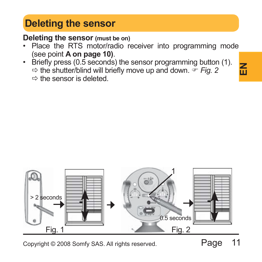# **Deleting the sensor**

**Deleting the sensor (must be on)**

- Place the RTS motor/radio receiver into programming mode (see point **A on page 10)**.
- Briefly press (0.5 seconds) the sensor programming button (1).  $\Rightarrow$  the shutter/blind will briefly move up and down.  $\Rightarrow$  Fig. 2  $\Rightarrow$  the sensor is deleted.





Copyright © 2008 Somfy SAS. All rights reserved.

Page 11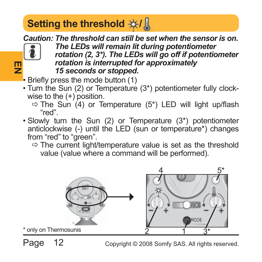# **Setting the threshold**  $\frac{1}{2}$

*Caution: The threshold can still be set when the sensor is on.*



*The LEDs will remain lit during potentiometer rotation (2, 3\*). The LEDs will go off if potentiometer rotation is interrupted for approximately 15 seconds or stopped.*

- $\cdot$  Briefly press the mode button (1)
- Turn the Sun (2) or Temperature (3\*) potentiometer fully clockwise to the (+) position.
	- $\Rightarrow$  The Sun (4) or Temperature (5\*) LED will light up/flash "red".
- Slowly turn the Sun (2) or Temperature (3\*) potentiometer anticlockwise (-) until the LED (sun or temperature\*) changes from "red" to "green".

 $\Rightarrow$  The current light/temperature value is set as the threshold value (value where a command will be performed).



Page 12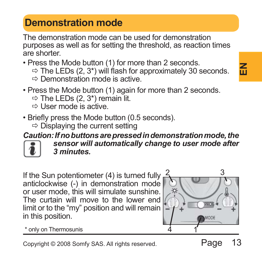# **Demonstration mode**

The demonstration mode can be used for demonstration purposes as well as for setting the threshold, as reaction times are shorter.

• Press the Mode button (1) for more than 2 seconds.

- $\Rightarrow$  The LEDs (2, 3\*) will flash for approximately 30 seconds.
- $\Rightarrow$  Demonstration mode is active.
- Press the Mode button (1) again for more than 2 seconds.  $\Rightarrow$  The LEDs (2, 3\*) remain lit.
	- $\Rightarrow$  I lear mode is active.
- Briefly press the Mode button (0.5 seconds).
	- $\Rightarrow$  Displaying the current setting

#### *Caution: If no buttons are pressed in demonstration mode, the*



*sensor will automatically change to user mode after 3 minutes.*

If the Sun potentiometer (4) is turned fully anticlockwise (-) in demonstration mode or user mode, this will simulate sunshine. The curtain will move to the lower end limit or to the "my" position and will remain in this position.



\* only on Thermosunis 1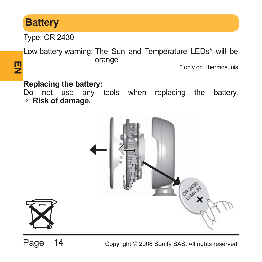# **Battery**

**巴** 

Type: CR 2430

Low battery warning: The Sun and Temperature LEDs\* will be orange

\* only on Thermosunis

#### **Replacing the battery:**

Do not use any tools when replacing the battery. ) **Risk of damage.**





Page 14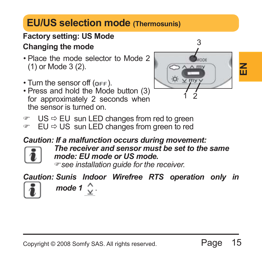# **EU/US selection mode (Thermosunis)**

# **Factory setting: US Mode**

#### **Changing the mode**

- Place the mode selector to Mode 2 (1) or Mode 3 (2).
- $\cdot$  Turn the sensor off  $(n_{\text{FF}})$ .
- Press and hold the Mode button (3) for approximately 2 seconds when the sensor is turned on.



- $US \Rightarrow EU$  sun LED changes from red to green
- $\degree$  EU  $\Rightarrow$  US sun LED changes from green to red

#### *Caution: If a malfunction occurs during movement:*



*The receiver and sensor must be set to the same mode: EU mode or US mode.*

)*see installation guide for the receiver.*

*Caution: Sunis Indoor Wirefree RTS operation only in* 



*mode 1* .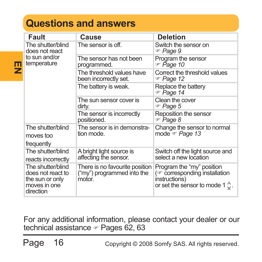# **Questions and answers**

| Fault                                                                                  | Cause                                                                  | <b>Deletion</b>                                                                                                       |
|----------------------------------------------------------------------------------------|------------------------------------------------------------------------|-----------------------------------------------------------------------------------------------------------------------|
| The shutter/blind<br>does not react                                                    | The sensor is off.                                                     | Switch the sensor on<br>ு Page 9                                                                                      |
| to sun and/or<br>temperature                                                           | The sensor has not been<br>programmed.                                 | Program the sensor<br>ு Page 10                                                                                       |
|                                                                                        | The threshold values have<br>been incorrectly set.                     | Correct the threshold values<br>ு Page 12                                                                             |
|                                                                                        | The battery is weak.                                                   | Replace the battery<br>ு Page 14                                                                                      |
|                                                                                        | The sun sensor cover is<br>dirty.                                      | Clean the cover<br>☞ Page 5                                                                                           |
|                                                                                        | The sensor is incorrectly<br>positioned.                               | Reposition the sensor<br>ு Page 8                                                                                     |
| The shutter/blind<br>moves too<br>frequently                                           | The sensor is in demonstra-<br>tion mode.                              | Change the sensor to normal<br>mode or Page 13                                                                        |
| The shutter/blind<br>reacts incorrectly                                                | A bright light source is<br>affecting the sensor.                      | Switch off the light source and<br>select a new location                                                              |
| The shutter/blind<br>does not react to<br>the sun or only<br>moves in one<br>direction | There is no favourite position<br>("my") programmed into the<br>motor. | Program the "my" position<br>(or corresponding installation<br>instructions)<br>or set the sensor to mode 1 $\circ$ . |

For any additional information, please contact your dealer or our technical assistance  $\sim$  Pages 62, 63

Page 16

**EN**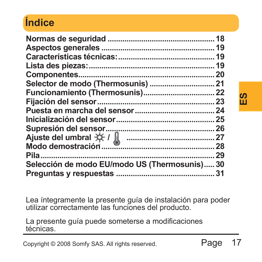# **Índice**

| Selección de modo EU/modo US (Thermosunis) 30                                                                     |         | ທ<br>ш |
|-------------------------------------------------------------------------------------------------------------------|---------|--------|
| Lea íntegramente la presente guía de instalación para poder<br>utilizar correctamente las funciones del producto. |         |        |
| La presente guía puede someterse a modificaciones<br>técnicas.                                                    |         |        |
| Copyright © 2008 Somfy SAS. All rights reserved.                                                                  | Page 17 |        |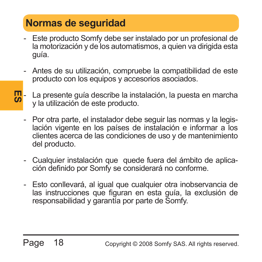# **Normas de seguridad**

- Este producto Somfy debe ser instalado por un profesional de la motorización y de los automatismos, a quien va dirigida esta guía.
- Antes de su utilización, compruebe la compatibilidad de este producto con los equipos y accesorios asociados.
- **ES** La presente quía describe la instalación, la puesta en marcha y la utilización de este producto.
	- Por otra parte, el instalador debe seguir las normas y la legislación vigente en los países de instalación e informar a los clientes acerca de las condiciones de uso y de mantenimiento del producto.
	- Cualquier instalación que quede fuera del ámbito de aplicación definido por Somfy se considerará no conforme.
	- Esto conllevará, al igual que cualquier otra inobservancia de las instrucciones que figuran en esta guía, la exclusión de responsabilidad y garantía por parte de Somfy.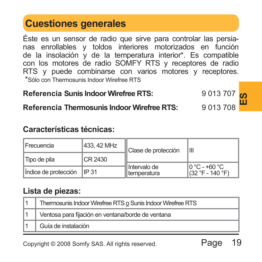# **Cuestiones generales**

Éste es un sensor de radio que sirve para controlar las persianas enrollables y toldos interiores motorizados en función de la insolación y de la temperatura interior\*. Es compatible con los motores de radio SOMFY RTS y receptores de radio RTS y puede combinarse con varios motores y receptores. \*Sólo con Thermosunis Indoor Wirefree RTS

#### **Referencia Sunis Indoor Wirefree RTS:** 9 013 707  $\alpha$

#### **Referencia Thermosunis Indoor Wirefree RTS:** 9 013 708

#### **Características técnicas:**

|                                               | RETEITUM SUITS INGCO VIIENEE RTS.                      |             |                                                             | 9 U I J <i>I U I</i>                                 | ഗ<br>ш |  |
|-----------------------------------------------|--------------------------------------------------------|-------------|-------------------------------------------------------------|------------------------------------------------------|--------|--|
|                                               | 9013708<br>Referencia Thermosunis Indoor Wirefree RTS: |             |                                                             |                                                      |        |  |
|                                               | Características técnicas:                              |             |                                                             |                                                      |        |  |
|                                               | Frecuencia                                             | 433, 42 MHz | Clase de protección                                         | Ш                                                    |        |  |
| Tipo de pila<br>IP 31<br>Indice de protección |                                                        | CR 2430     |                                                             |                                                      |        |  |
|                                               |                                                        |             | Intervalo de<br>temperatura                                 | $0^{\circ}$ C - +60 $^{\circ}$ C<br>(32 °F - 140 °F) |        |  |
|                                               | Lista de piezas:                                       |             |                                                             |                                                      |        |  |
| 1                                             |                                                        |             | Thermosunis Indoor Wirefree RTS o Sunis Indoor Wirefree RTS |                                                      |        |  |
| $\mathbf{1}$                                  | Ventosa para fijación en ventana/borde de ventana      |             |                                                             |                                                      |        |  |
| 1                                             | Guía de instalación                                    |             |                                                             |                                                      |        |  |
|                                               | Copyright © 2008 Somfy SAS. All rights reserved.       |             |                                                             | 19<br>Page                                           |        |  |

#### **Lista de piezas:**

| Thermosunis Indoor Wirefree RTS o Sunis Indoor Wirefree RTS |
|-------------------------------------------------------------|
| Ventosa para fijación en ventana/borde de ventana           |
| Guía de instalación                                         |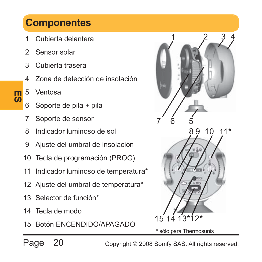# **Componentes**

- Cubierta delantera
- 2 Sensor solar
- 3 Cubierta trasera
- Zona de detección de insolación
- 5 Ventosa

**ES** 

- 6 Soporte de pila + pila
- 7 Soporte de sensor
- 8 Indicador luminoso de sol
- 9 Ajuste del umbral de insolación
- 10 Tecla de programación (PROG)
- 11 Indicador luminoso de temperatura\*
- 12 Ajuste del umbral de temperatura\*
- 13 Selector de función\*
- 14 Tecla de modo
- 15 Botón ENCENDIDO/APAGADO



Page 20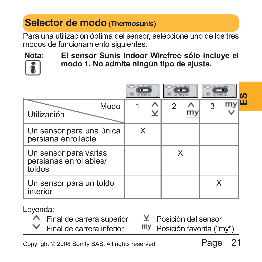# **Selector de modo (Thermosunis)**

Para una utilización óptima del sensor, seleccione uno de los tres modos de funcionamiento siguientes.



**Nota: El sensor Sunis Indoor Wirefree sólo incluye el modo 1. No admite ningún tipo de ajuste.**

|                                                                                                                                                 | W Vmvv | $\sqrt{m}$ v |            |   |
|-------------------------------------------------------------------------------------------------------------------------------------------------|--------|--------------|------------|---|
| Modo<br>Utilización                                                                                                                             | ⊻      | 2            | my<br>3    | ш |
| Un sensor para una única<br>persiana enrollable                                                                                                 | X      |              |            |   |
| Un sensor para varias<br>persianas enrollables/<br>toldos                                                                                       |        | X            |            |   |
| Un sensor para un toldo<br>interior                                                                                                             |        |              | X          |   |
| Leyenda:<br>Y.<br>Posición del sensor<br>$\wedge$ Final de carrera superior<br>v<br>Final de carrera inferior<br>mу<br>Posición favorita ("my") |        |              |            |   |
| Copyright © 2008 Somfy SAS. All rights reserved.                                                                                                |        |              | 21<br>Page |   |

- $\wedge$  Final de carrera superior
	- Final de carrera inferior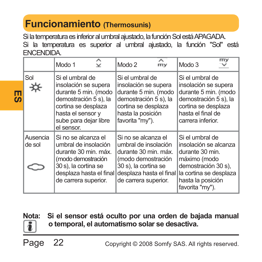# **Funcionamiento (Thermosunis)**

Si la temperatura es inferior al umbral ajustado, la función Sol está APAGADA. Si la temperatura es superior al umbral ajustado, la función "Sol" está ENCENDIDA.

|                    | Modo 1<br>$\checkmark$                                                                                                                                                      | Modo 2<br>m <sub>v</sub>                                                                                                                                             | mv<br>Modo 3                                                                                                                                                         |
|--------------------|-----------------------------------------------------------------------------------------------------------------------------------------------------------------------------|----------------------------------------------------------------------------------------------------------------------------------------------------------------------|----------------------------------------------------------------------------------------------------------------------------------------------------------------------|
| Sol                | Si el umbral de<br>insolación se supera<br>durante 5 min. (modo<br>demostración 5 s), la<br>cortina se desplaza<br>hasta el sensor y<br>sube para dejar libre<br>el sensor. | Si el umbral de<br>insolación se supera<br>durante 5 min. (modo<br>demostración 5 s), la<br>cortina se desplaza<br>hasta la posición<br>favorita "my").              | Si el umbral de<br>insolación se supera<br>durante 5 min. (modo<br>demostración 5 s), la<br>cortina se desplaza<br>hasta el final de<br>carrera inferior.            |
| Ausencia<br>de sol | Si no se alcanza el<br>umbral de insolación<br>durante 30 min. máx.<br>(modo demostración<br>30 s), la cortina se<br>desplaza hasta el final<br>de carrera superior.        | Si no se alcanza el<br>umbral de insolación<br>durante 30 min. máx.<br>(modo demostración<br>30 s), la cortina se<br>desplaza hasta el final<br>de carrera superior. | Si el umbral de<br>insolación se alcanza<br>durante 30 min.<br>máximo (modo<br>demostración 30 s).<br>la cortina se desplaza<br>hasta la posición<br>favorita "my"). |

**Nota: Si el sensor está oculto por una orden de bajada manual o temporal, el automatismo solar se desactiva.**

Page 22

 $\overline{\mathbf{E}}$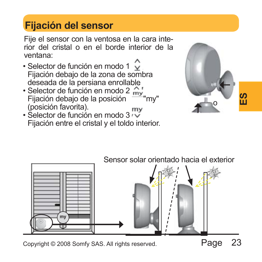# **Fijación del sensor**

Fije el sensor con la ventosa en la cara interior del cristal o en el borde interior de la ventana:

- Selector de función en modo 1  $\sqrt{ }$ Fijación debajo de la zona de sombra deseada de la persiana enrollable.
- Selector de función en modo 2 my Fijación debajo de la posición (posición favorita).  $m<sub>V</sub>$
- $\cdot$  Selector de función en modo 3 Fijación entre el cristal y el toldo interior.



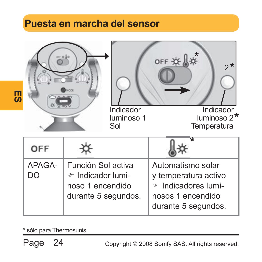# **Puesta en marcha del sensor**

|              | or 0.80                                                                            | Indicador<br>luminoso 1<br>Sol | OFF *<br>$2^*$<br>Indicador<br>luminoso 2 <sup>*</sup><br>Temperatura                                        |
|--------------|------------------------------------------------------------------------------------|--------------------------------|--------------------------------------------------------------------------------------------------------------|
| OFF          |                                                                                    |                                |                                                                                                              |
| APAGA-<br>DO | Función Sol activa<br>☞ Indicador lumi-<br>noso 1 encendido<br>durante 5 segundos. |                                | Automatismo solar<br>y temperatura activo<br>☞ Indicadores lumi-<br>nosos 1 encendido<br>durante 5 segundos. |

\* sólo para Thermosunis

Page 24

**ES**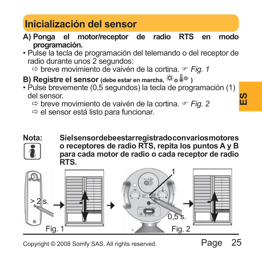# **Inicialización del sensor**

- **A) Ponga el motor/receptor de radio RTS en modo programación.**
- Pulse la tecla de programación del telemando o del receptor de radio durante unos 2 segundos:

 $\Rightarrow$  breve movimiento de vaivén de la cortina.  $\approx$  Fig. 1

- **B) Registre el sensor** (debe estar en marcha,  $\forall$ ro  $\&$   $\rightarrow$
- Pulse brevemente (0,5 segundos) la tecla de programación (1) del sensor.
	- Ö breve movimiento de vaivén de la cortina. ) *Fig. 2*
	- $\Rightarrow$  el sensor está listo para funcionar.



**Nota: Si el sensor debe estar registrado con varios motores o receptores de radio RTS, repita los puntos A y B para cada motor de radio o cada receptor de radio RTS.**

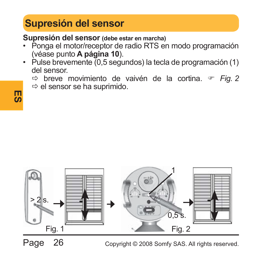# **Supresión del sensor**

**Supresión del sensor (debe estar en marcha)**

- Ponga el motor/receptor de radio RTS en modo programación (véase punto **A página 10**).
- Pulse brevemente (0,5 segundos) la tecla de programación (1) del sensor.
	- $\Rightarrow$  breve movimiento de vaivén de la cortina.  $\Rightarrow$  Fig. 2
	- $\Rightarrow$  el sensor se ha suprimido.



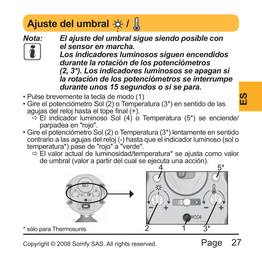# **Ajuste del umbral**  $\frac{1}{2}$

*Nota: El ajuste del umbral sigue siendo posible con el sensor en marcha.* 

*Los indicadores luminosos siguen encendidos durante la rotación de los potenciómetros (2, 3\*). Los indicadores luminosos se apagan si la rotación de los potenciómetros se interrumpe durante unos 15 segundos o si se para.*

- Pulse brevemente la tecla de modo (1)
- Gire el potenciómetro Sol (2) o Temperatura (3\*) en sentido de las agujas del reloj hasta el tope final (+).
	- $\Rightarrow$  El indicador luminoso Sol (4) o Temperatura (5\*) se enciende/ parpadea en "rojo".
- Gire el potenciómetro Sol (2) o Temperatura (3\*) lentamente en sentido contrario a las agujas del reloj (-) hasta que el indicador luminoso (sol o temperatura\*) pase de "rojo" a "verde".
	- $\Rightarrow$  El valor actual de luminosidad/temperatura\* se ajusta como valor de umbral (valor a partir del cual se ejecuta una acción).



sólo para Thermosunis

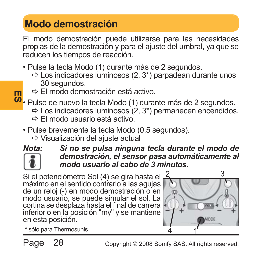# **Modo demostración**

El modo demostración puede utilizarse para las necesidades propias de la demostración y para el ajuste del umbral, ya que se reducen los tiempos de reacción.

- Pulse la tecla Modo (1) durante más de 2 segundos.
	- $\Rightarrow$  Los indicadores luminosos (2, 3\*) parpadean durante unos 30 segundos.
	- $\Rightarrow$  El modo demostración está activo.
- masia e El modo demostración esta activo.<br>**<sup>Ø</sup> •** Pulse de nuevo la tecla Modo (1) durante más de 2 segundos.
	- $\Rightarrow$  Los indicadores luminosos (2, 3\*) permanecen encendidos.
	- $\Rightarrow$  El modo usuario está activo.
	- Pulse brevemente la tecla Modo (0,5 segundos).
		- $\Rightarrow$  Visualización del ajuste actual



*Nota: Si no se pulsa ninguna tecla durante el modo de demostración, el sensor pasa automáticamente al modo usuario al cabo de 3 minutos.*

Si el potenciómetro Sol (4) se gira hasta el máximo en el sentido contrario a las agujas de un reloj (-) en modo demostración o en modo usuario, se puede simular el sol. La cortina se desplaza hasta el final de carrera inferior o en la posición "my" y se mantiene en esta posición.



\* sólo para Thermosunis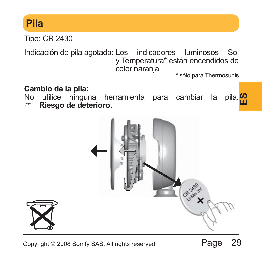# **Pila**

Tipo: CR 2430

Indicación de pila agotada: Los indicadores luminosos Sol y Temperatura\* están encendidos de color naranja

\* sólo para Thermosunis

#### **Cambio de la pila:**

No utilice ninguna herramienta para cambiar la pila.<sup>10</sup>0 → Riesgo de deterioro & **Riesgo de deterioro.**

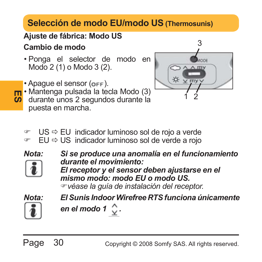# **Selección de modo EU/modo US (Thermosunis)**

#### **Ajuste de fábrica: Modo US Cambio de modo**

- Ponga el selector de modo en Modo 2 (1) o Modo 3 (2).
- Apague el sensor (OFF).
- **ES <sup>•</sup>** Mantenga pulsada la tecla Modo (3)<br>**Co** durante unos 2 segundos durante la • Mantenga pulsada la tecla Modo (3) puesta en marcha.



- $\degree$  US  $\Rightarrow$  EU indicador luminoso sol de rojo a verde
- $\degree$  EU  $\Rightarrow$  US indicador luminoso sol de verde a rojo
- 
- *Nota: Si se produce una anomalía en el funcionamiento durante el movimiento:*
	- *El receptor y el sensor deben ajustarse en el mismo modo: modo EU o modo US.* )*véase la guía de instalación del receptor.*



*Nota: El Sunis Indoor Wirefree RTS funciona únicamente en el modo 1 .*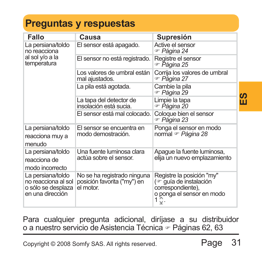# **Preguntas y respuestas**

| Fallo                                                                              | Causa                                                                   | Supresión                                                                                                      |   |
|------------------------------------------------------------------------------------|-------------------------------------------------------------------------|----------------------------------------------------------------------------------------------------------------|---|
| La persiana/toldo<br>no reacciona                                                  | El sensor está apagado.                                                 | Active el sensor<br>ு Páqina 24                                                                                |   |
| al sol y/o a la<br>temperatura                                                     | El sensor no está registrado.                                           | Registre el sensor<br>ு Página 25                                                                              |   |
|                                                                                    | Los valores de umbral están<br>mal ajustados.                           | Corrija los valores de umbral<br>☞ Página 27                                                                   |   |
|                                                                                    | La pila está agotada.                                                   | Cambie la pila<br>ு Páqina 29                                                                                  | ທ |
|                                                                                    | La tapa del detector de<br>insolación está sucia.                       | Limpie la tapa<br>ு Páqina 20                                                                                  | ш |
|                                                                                    | El sensor está mal colocado.                                            | Coloque bien el sensor<br>☞ Página 23                                                                          |   |
| La persiana/toldo<br>reacciona muy a<br>menudo                                     | El sensor se encuentra en<br>modo demostración.                         | Ponga el sensor en modo<br>normal ☞ Página 28                                                                  |   |
| La persiana/toldo<br>reacciona de<br>modo incorrecto                               | Una fuente luminosa clara<br>actúa sobre el sensor.                     | Apaque la fuente luminosa,<br>elija un nuevo emplazamiento                                                     |   |
| La persiana/toldo<br>no reacciona al sol<br>o sólo se desplaza<br>en una dirección | No se ha registrado ninguna<br>posición favorita ("my") en<br>el motor. | Registre la posición "my"<br>(or guía de instalación<br>correspondiente),<br>o ponga el sensor en modo<br>1 ୁ. |   |
|                                                                                    | o a nuestro servicio de Asistencia Técnica ☞ Páqinas 62, 63             | Para cualquier pregunta adicional, diríjase a su distribuidor                                                  |   |
|                                                                                    | Copyright © 2008 Somfy SAS. All rights reserved.                        | 31<br>Page                                                                                                     |   |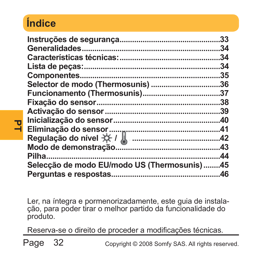# **Índice**

**PT**

|                                             | 33  |
|---------------------------------------------|-----|
|                                             | .34 |
|                                             | 34  |
|                                             | .34 |
|                                             | .35 |
|                                             | 36  |
|                                             |     |
|                                             | .38 |
|                                             | .39 |
|                                             | .40 |
|                                             | .41 |
|                                             |     |
|                                             | .43 |
|                                             | .44 |
| Selecção de modo EU/modo US (Thermosunis)45 |     |
|                                             | .46 |
|                                             |     |

Ler, na íntegra e pormenorizadamente, este guia de instalação, para poder tirar o melhor partido da funcionalidade do produto.

Reserva-se o direito de proceder a modificações técnicas.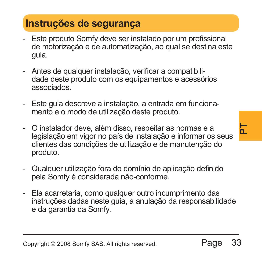#### Copyright © 2008 Somfy SAS. All rights reserved.

### **Instruções de segurança**

- Este produto Somfy deve ser instalado por um profissional de motorização e de automatização, ao qual se destina este guia.
- Antes de qualquer instalação, verificar a compatibilidade deste produto com os equipamentos e acessórios associados.
- Este guia descreve a instalação, a entrada em funcionamento e o modo de utilização deste produto.
- e a<br>ar os seus<br><sub>ção do</sub><br>efinido<br>o das<br>sabilidade<br>**Page** 33 - O instalador deve, além disso, respeitar as normas e a legislação em vigor no país de instalação e informar os seus clientes das condições de utilização e de manutenção do produto.
- Qualquer utilização fora do domínio de aplicação definido pela Somfy é considerada não-conforme.
- Ela acarretaria, como qualquer outro incumprimento das instruções dadas neste guia, a anulação da responsabilidade e da garantia da Somfy.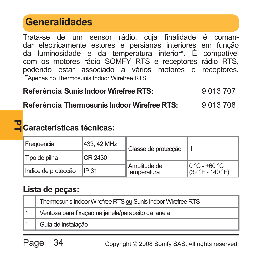# **Generalidades**

Trata-se de um sensor rádio, cuja finalidade é comandar electricamente estores e persianas interiores em função da luminosidade e da temperatura interior\*. É compatível com os motores rádio SOMFY RTS e receptores rádio RTS, podendo estar associado a vários motores e receptores. \*Apenas no Thermosunis Indoor Wirefree RTS

#### **Referência Sunis Indoor Wirefree RTS:** 9 013 707

**Referência Thermosunis Indoor Wirefree RTS:** 9 013 708

#### **PT Características técnicas:**

| <b>Freguência</b>   | 433, 42 MHz | Classe de protecção               | Ш                                                      |  |
|---------------------|-------------|-----------------------------------|--------------------------------------------------------|--|
| Tipo de pilha       | CR 2430     |                                   |                                                        |  |
| Indice de protecção | IP31        | ill Amplitude de<br>I temperatura | $0^{\circ}$ C - +60 $^{\circ}$ C<br>$(32 °F - 140 °F)$ |  |

#### **Lista de peças:**

| Thermosunis Indoor Wirefree RTS ou Sunis Indoor Wirefree RTS |
|--------------------------------------------------------------|
| Ventosa para fixação na janela/parapeito da janela           |
| Guia de instalação                                           |

Page 34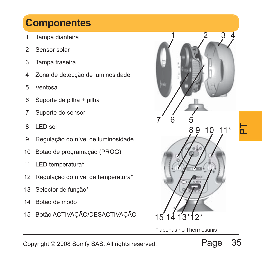# **Componentes**

- 1 Tampa dianteira
- 2 Sensor solar
- 3 Tampa traseira
- 4 Zona de detecção de luminosidade
- 5 Ventosa
- 6 Suporte de pilha + pilha
- 7 Suporte do sensor
- 8 LED sol
- 9 Regulação do nível de luminosidade
- 10 Botão de programação (PROG)
- 11 LED temperatura\*
- 12 Regulação do nível de temperatura\*
- 13 Selector de função\*
- 14 Botão de modo
- 15 Botão ACTIVAÇÃO/DESACTIVAÇÃO



\* apenas no Thermosunis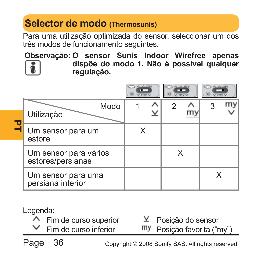# **Selector de modo (Thermosunis)**

Para uma utilização optimizada do sensor, seleccionar um dos três modos de funcionamento seguintes.

**Observação: O sensor Sunis Indoor Wirefree apenas dispõe do modo 1. Não é possível qualquer regulação.**

| Modo<br>Utilização                         |   |  |   |  |
|--------------------------------------------|---|--|---|--|
| Um sensor para um<br>estore                | X |  |   |  |
| Um sensor para vários<br>estores/persianas |   |  |   |  |
| Um sensor para uma<br>persiana interior    |   |  | x |  |

Legenda:

- $\wedge$  Fim de curso superior Fim de curso inferior
	- $Y$  Posição do sensor Posição favorita ("my")

Page 36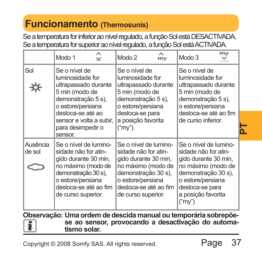# **Funcionamento (Thermosunis)**

Se a temperatura for inferior ao nível regulado, a função Sol está DESACTIVADA. Se a temperatura for superior ao nível regulado, a função Sol está ACTIVADA.

|                                                                                                                                       | Modo 1                                                                                                                                                                                 | $\hat{\mathbf{z}}$ | Modo 2                                                                                                            | $\mathop{\sim}\limits_{\rm my}$                                      | Modo 3                                                                                                                                                                                     | my |  |
|---------------------------------------------------------------------------------------------------------------------------------------|----------------------------------------------------------------------------------------------------------------------------------------------------------------------------------------|--------------------|-------------------------------------------------------------------------------------------------------------------|----------------------------------------------------------------------|--------------------------------------------------------------------------------------------------------------------------------------------------------------------------------------------|----|--|
| Sol                                                                                                                                   | Se o nível de<br>luminosidade for<br>ultrapassado durante<br>5 min (modo de<br>demonstração 5 s),<br>o estore/persiana<br>desloca-se até ao                                            |                    | Se o nível de<br>luminosidade for<br>5 min (modo de<br>demonstração 5 s),<br>o estore/persiana<br>desloca-se para | ultrapassado durante                                                 | Se o nível de<br>luminosidade for<br>ultrapassado durante<br>5 min (modo de<br>demonstração 5 s),<br>o estore/persiana<br>desloca-se até ao fim                                            |    |  |
|                                                                                                                                       | sensor e volta a subir,<br>para desimpedir o<br>sensor.                                                                                                                                |                    | a posição favorita<br>("my").                                                                                     |                                                                      | de curso inferior.                                                                                                                                                                         |    |  |
| Ausência<br>de sol                                                                                                                    | Se o nível de lumino-<br>sidade não for atin-<br>gido durante 30 min,<br>no máximo (modo de<br>demonstração 30 s),<br>o estore/persiana<br>desloca-se até ao fim<br>de curso superior. |                    | sidade não for atin-<br>gido durante 30 min,<br>demonstração 30 s),<br>o estore/persiana<br>de curso superior.    | Se o nível de lumino-<br>no máximo (modo de<br>desloca-se até ao fim | Se o nível de lumino-<br>sidade não for atin-<br>gido durante 30 min,<br>no máximo (modo de<br>demonstração 30 s),<br>o estore/persiana<br>desloca-se para<br>a posição favorita<br>("my") |    |  |
| Observação: Uma ordem de descida manual ou temporária sobrepõe-<br>se ao sensor, provocando a desactivação do automa-<br>tismo solar. |                                                                                                                                                                                        |                    |                                                                                                                   |                                                                      |                                                                                                                                                                                            |    |  |
|                                                                                                                                       | 37<br>Page<br>Copyright © 2008 Somfy SAS. All rights reserved.                                                                                                                         |                    |                                                                                                                   |                                                                      |                                                                                                                                                                                            |    |  |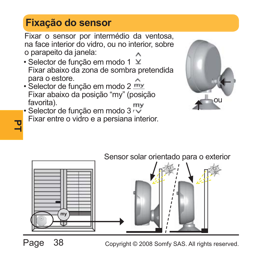# **Fixação do sensor**

Fixar o sensor por intermédio da ventosa, na face interior do vidro, ou no interior, sobre o parapeito da janela:

- Selector de função em modo 1 ⊻ Fixar abaixo da zona de sombra pretendida para o estore.
- Selector de função em modo 2 my Fixar abaixo da posição "my" (posição favorita).
- Selector de função em modo 3<sup>r</sup> Fixar entre o vidro e a persiana interior.





Page 38

Copyright © 2008 Somfy SAS. All rights reserved.

**PT**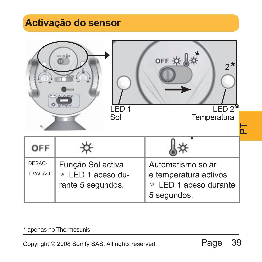# **Activação do sensor**

|                                                  | $0.10 - 10$                                                 | LED <sub>1</sub> | OFF #                                                                              | $FD2*$      | $2*$ |
|--------------------------------------------------|-------------------------------------------------------------|------------------|------------------------------------------------------------------------------------|-------------|------|
|                                                  |                                                             | Sol              |                                                                                    | Temperatura | ՟    |
| OFF                                              |                                                             |                  |                                                                                    |             |      |
| DESAC-<br><b>TIVAÇÃO</b>                         | Função Sol activa<br>☞ LED 1 aceso du-<br>rante 5 segundos. |                  | Automatismo solar<br>e temperatura activos<br>☞ LED 1 aceso durante<br>5 segundos. |             |      |
| Copyright © 2008 Somfy SAS. All rights reserved. | * apenas no Thermosunis                                     |                  |                                                                                    | Page        | 39   |

#### \* apenas no Thermosunis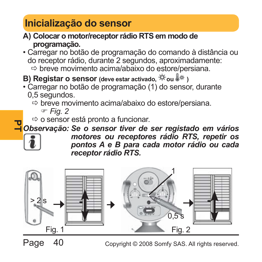# **Inicialização do sensor**

- **A) Colocar o motor/receptor rádio RTS em modo de programação.**
- Carregar no botão de programação do comando à distância ou do receptor rádio, durante 2 segundos, aproximadamente:  $\Rightarrow$  breve movimento acima/abaixo do estore/persiana.
- **B) Registar o sensor** (deve estar activado,  $\frac{4}{3}$ fou  $\frac{1}{9}$ \*)
- Carregar no botão de programação (1) do sensor, durante 0,5 segundos.
	- $\Rightarrow$  breve movimento acima/abaixo do estore/persiana.

) *Fig. 2*

 $\Rightarrow$  o sensor está pronto a funcionar.

**PT** *Observação: Se o sensor tiver de ser registado em vários* 



*motores ou receptores rádio RTS, repetir os pontos A e B para cada motor rádio ou cada receptor rádio RTS.*

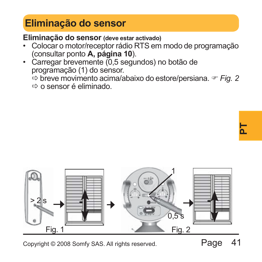# **Eliminação do sensor**

**Eliminação do sensor (deve estar activado)**

- Colocar o motor/receptor rádio RTS em modo de programação (consultar ponto **A, página 10**).
- Carregar brevemente (0,5 segundos) no botão de programação (1) do sensor.
	- Ö breve movimento acima/abaixo do estore/persiana. ) *Fig. 2*
	- $\Rightarrow$  o sensor é eliminado.

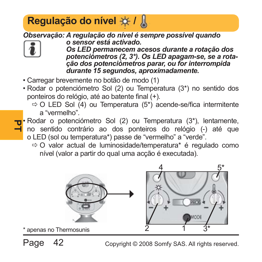# **Regulação do nível ※ / 人**

*Observação: A regulação do nível é sempre possível quando* 



- *o sensor está activado. Os LED permanecem acesos durante a rotação dos potenciómetros (2, 3\*). Os LED apagam-se, se a rotação dos potenciómetros parar, ou for interrompida durante 15 segundos, aproximadamente.*
- Carregar brevemente no botão de modo (1)
- Rodar o potenciómetro Sol (2) ou Temperatura (3\*) no sentido dos ponteiros do relógio, até ao batente final (+).
	- $\Rightarrow$  O LED Sol (4) ou Temperatura (5<sup>\*</sup>) acende-se/fica intermitente a "vermelho".
- **PT** no sentido contrário ao dos ponteiros do relógio (-) até que • Rodar o potenciómetro Sol (2) ou Temperatura (3\*), lentamente, o LED (sol ou temperatura\*) passe de "vermelho" a "verde".
	- $\Rightarrow$  O valor actual de luminosidade/temperatura\* é regulado como nível (valor a partir do qual uma acção é executada).



Page 42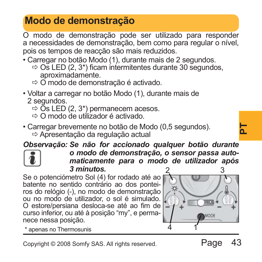# **Modo de demonstração**

O modo de demonstração pode ser utilizado para responder a necessidades de demonstração, bem como para regular o nível, pois os tempos de reacção são mais reduzidos.

- Carregar no botão Modo (1), durante mais de 2 segundos.
	- $\Rightarrow$  Os LED (2, 3\*) ficam intermitentes durante 30 segundos, aproximadamente.
	- $\Rightarrow$  O modo de demonstração é activado.
- Voltar a carregar no botão Modo (1), durante mais de 2 segundos.
	- $\Rightarrow$  Os LED (2, 3\*) permanecem acesos.
	- $\Rightarrow$  O modo de utilizador é activado.
- Carregar brevemente no botão de Modo (0,5 segundos). Ö Apresentação da regulação actual

*Observação: Se não for accionado qualquer botão durante* 



*o modo de demonstração, o sensor passa automaticamente para o modo de utilizador após 3 minutos.* 2 3

Se o potenciómetro Sol (4) for rodado até ao batente no sentido contrário ao dos ponteiros do relógio (-), no modo de demonstração ou no modo de utilizador, o sol é simulado. O estore/persiana desloca-se até ao fim de curso inferior, ou até à posição "my", e permanece nessa posição.



\* apenas no Thermosunis 1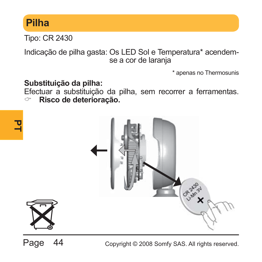# **Pilha**

**PT**

Tipo: CR 2430

Indicação de pilha gasta: Os LED Sol e Temperatura\* acendemse a cor de larania

\* apenas no Thermosunis

#### **Substituição da pilha:**

Efectuar a substituição da pilha, sem recorrer a ferramentas. & **Risco de deterioração.**



Page 44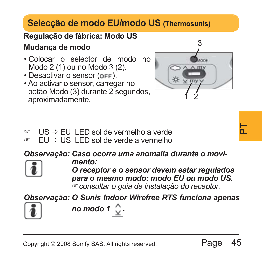# **Selecção de modo EU/modo US (Thermosunis)**

#### **Regulação de fábrica: Modo US**

#### **Mudança de modo**

- Colocar o selector de modo no Modo 2 (1) ou no Modo 3 (2).
- $\cdot$  Desactivar o sensor ( $o$ FF).
- Ao activar o sensor, carregar no botão Modo (3) durante 2 segundos, aproximadamente.



- $\circ$  US  $\Rightarrow$  FU LED sol de vermelho a verde
- $\triangledown$  EU  $\Rightarrow$  US LED sol de verde a vermelho

*Observação: Caso ocorra uma anomalia durante o movi-*



*mento:*

**Page 45**<br> **Page 45**<br>
Page 45 *O receptor e o sensor devem estar regulados para o mesmo modo: modo EU ou modo US.* )*consultar o guia de instalação do receptor.*

*Observação: O Sunis Indoor Wirefree RTS funciona apenas* 



*no modo 1 .*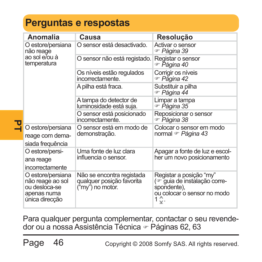# **Perguntas e respostas**

| Anomalia                                                                                | Causa                                                                      | Resolução                                                                                                     |
|-----------------------------------------------------------------------------------------|----------------------------------------------------------------------------|---------------------------------------------------------------------------------------------------------------|
| O estore/persiana<br>não reage                                                          | O sensor está desactivado.                                                 | Activar o sensor<br>☞ Páqina 39                                                                               |
| ao sol e/ou à<br>temperatura                                                            | O sensor não está registado.                                               | Registar o sensor<br>ு Página 40                                                                              |
|                                                                                         | Os níveis estão regulados<br>incorrectamente.                              | Corrigir os níveis<br>ு Página 42                                                                             |
|                                                                                         | A pilha está fraca.                                                        | Substituir a pilha<br>☞ Páqina 44                                                                             |
|                                                                                         | A tampa do detector de<br>luminosidade está suja.                          | Limpar a tampa<br>ு Páqina 35                                                                                 |
|                                                                                         | O sensor está posicionado<br>incorrectamente.                              | Reposicionar o sensor<br>☞ Páɑina 38                                                                          |
| O estore/persiana<br>reage com dema-<br>siada freguência                                | O sensor está em modo de<br>demonstração.                                  | Colocar o sensor em modo<br>normal <sup>or</sup> Página 43                                                    |
| O estore/persi-<br>ana reage<br>incorrectamente                                         | Uma fonte de luz clara<br>influencia o sensor.                             | Apagar a fonte de luz e escol-<br>her um novo posicionamento                                                  |
| O estore/persiana<br>não reage ao sol<br>ou desloca-se<br>apenas numa<br>única direcção | Não se encontra registada<br>qualquer posição favorita<br>("my") no motor. | Registar a posição "my"<br>(or guia de instalação corre-<br>spondente),<br>ou colocar o sensor no modo<br>1≎. |

Para qualquer pergunta complementar, contactar o seu revendedor ou a nossa Assistência Técnica & Páginas 62, 63

Page 46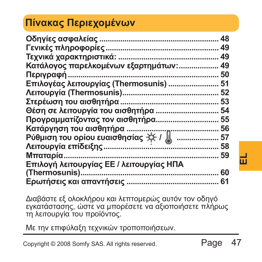# **Πίνακας Περιεχομένων**

| Κατάλογος παρελκομένων εξαρτημάτων: 49<br>Επιλογέας λειτουργίας (Thermosunis)  51<br>Θέση σε λειτουργία του αισθητήρα  54<br>Προγραμματίζοντας τον αισθητήρα 55<br>Επιλογή λειτουργίας ΕΕ / λειτουργίας ΗΠΑ |      |    | ш |
|-------------------------------------------------------------------------------------------------------------------------------------------------------------------------------------------------------------|------|----|---|
| Διαβάστε εξ ολοκλήρου και λεπτομερώς αυτόν τον οδηγό<br>εγκατάστασης, ώστε να μπορέσετε να αξιοποιήσετε πλήρως<br>τη λειτουργία του προϊόντος.                                                              |      |    |   |
| Με την επιφύλαξη τεχνικών τροποποιήσεων.                                                                                                                                                                    |      |    |   |
| Copyright © 2008 Somfy SAS. All rights reserved.                                                                                                                                                            | Page | 47 |   |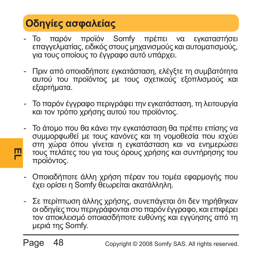# **Οδηγίες ασφαλείας**

**EL**

- Το παρόν προϊόν Somfy πρέπει να εγκαταστήσει επαγγελματίας, ειδικός στους μηχανισμούς και αυτοματισμούς, για τους οποίους το έγγραφο αυτό υπάρχει.
- Πριν από οποιαδήποτε εγκατάσταση, ελέγξτε τη συμβατότητα αυτού του προϊόντος με τους σχετικούς εξοπλισμούς και εξαρτήματα.
- Το παρόν έγγραφο περιγράφει την εγκατάσταση, τη λειτουργία και τον τρόπο χρήσης αυτού του προϊόντος.
- Το άτομο που θα κάνει την εγκατάσταση θα πρέπει επίσης να συμμορφωθεί με τους κανόνες και τη νομοθεσία που ισχύει στη χώρα όπου γίνεται η εγκατάσταση και να ενημερώσει τους πελάτες του για τους όρους χρήσης και συντήρησης του προϊόντος.
- Οποιαδήποτε άλλη χρήση πέραν του τομέα εφαρμογής που έχει ορίσει η Somfy θεωρείται ακατάλληλη.
- Σε περίπτωση άλλης χρήσης, συνεπάγεται ότι δεν τηρήθηκαν οι οδηγίες που περιγράφονται στο παρόν έγγραφο, και επιφέρει τον αποκλεισμό οποιασδήποτε ευθύνης και εγγύησης από τη μεριά της Somfy.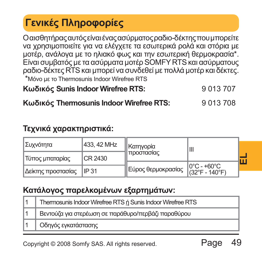# **Γενικές Πληροφορίες**

Οαισθητήραςαυτόςείναιέναςασύρματοςραδιο-δέκτηςπουμπορείτε να χρησιμοποιείτε για να ελέγχετε τα εσωτερικά ρολά και στόρια με μοτέρ, ανάλογα με το ηλιακό φως και την εσωτερική θερμοκρασία\*. Είναι συμβατός με τα ασύρματα μοτέρ SOMFY RTS και ασύρματους ραδιο-δέκτες RTS και μπορεί να συνδεθεί μεπολλά μοτέρ και δέκτες. \*Μόνο με το Thermosunis Indoor Wirefree RTS

**Κωδικός Sunis Indoor Wirefree RTS:** 9 013 707

#### **Κωδικός Thermosunis Indoor Wirefree RTS:** 9 013 708

#### **Τεχνικά χαρακτηριστικά:**

| Συχνότητα                  | 433, 42 MHz | Kατηγορία                                                                 | Ш |  |
|----------------------------|-------------|---------------------------------------------------------------------------|---|--|
| Τύπος μπαταρίας            | CR 2430     | †  προστασίας                                                             |   |  |
|                            |             | $\parallel$ Εύρος θερμοκρασίας $\parallel_{{(32^\circ F - 140^\circ F)}}$ |   |  |
| Δείκτης προστασίας   IP 31 |             |                                                                           |   |  |

#### **Κατάλογος παρελκομένων εξαρτημάτων:**

| CR 2430<br>  Τύπος μπαταρίας                             |                                                             |       | <b>ILLOU IGORY</b> |                               | п |
|----------------------------------------------------------|-------------------------------------------------------------|-------|--------------------|-------------------------------|---|
| Δείκτης προστασίας                                       |                                                             | IP 31 | Εύρος θερμοκρασίας | 0°C - +60°C<br>(32°F - 140°F) |   |
|                                                          | Κατάλογος παρελκομένων εξαρτημάτων:                         |       |                    |                               |   |
| 1                                                        | Thermosunis Indoor Wirefree RTS ή Sunis Indoor Wirefree RTS |       |                    |                               |   |
| 1                                                        | Βεντούζα για στερέωση σε παράθυρο/περβάζι παραθύρου         |       |                    |                               |   |
|                                                          | Οδηγός εγκατάστασης                                         |       |                    |                               |   |
| Page<br>Copyright © 2008 Somfy SAS. All rights reserved. |                                                             |       |                    |                               |   |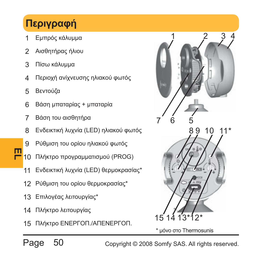# **Περιγραφή**

- Εμπρός κάλυμμα
- Αισθητήρας ήλιου
- Πίσω κάλυμμα
- Περιοχή ανίχνευσης ηλιακού φωτός
- Βεντούζα
- Βάση μπαταρίας + μπαταρία
- Βάση του αισθητήρα
- Ενδεικτική λυχνία (LED) ηλιακού φωτός
- Ρύθμιση του ορίου ηλιακού φωτός
- **EL** 10 Πλήκτρο προγραμματισμού (PROG)
	- Ενδεικτική λυχνία (LED) θερμοκρασίας\*
	- Ρύθμιση του ορίου θερμοκρασίας\*
	- Επιλογέας λειτουργίας\*
	- Πλήκτρο λειτουργίας
	- Πλήκτρο ΕΝΕΡΓΟΠ./ΑΠΕΝΕΡΓΟΠ.



\* μόνο στο Thermosunis

Page 50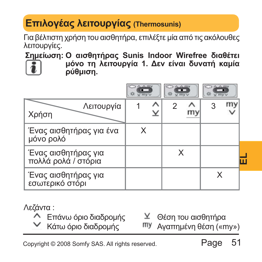# **Επιλογέας λειτουργίας (Thermosunis)**

Για βέλτιστη χρήση του αισθητήρα, επιλέξτε μία από τις ακόλουθες λειτουργίες.

**Σημείωση: Ο αισθητήρας Sunis Indoor Wirefree διαθέτει**



**μόνο τη λειτουργία 1. Δεν είναι δυνατή καμία ρύθμιση.**

|                                                                                                                            | $\wedge \wedge m$<br>$V$ my $V$ | <b>WITTY</b> | U FFIV' |  |
|----------------------------------------------------------------------------------------------------------------------------|---------------------------------|--------------|---------|--|
| Λειτουργία<br>Χρήση                                                                                                        |                                 | 2            | 3       |  |
| Ένας αισθητήρας για ένα<br>μόνο ρολό                                                                                       | X                               |              |         |  |
| Ένας αισθητήρας για<br>πολλά ρολά / στόρια                                                                                 |                                 | X            |         |  |
| Ένας αισθητήρας για<br>εσωτερικό στόρι                                                                                     |                                 |              | X       |  |
| Λεζάντα :<br>Θέση του αισθητήρα<br><sup>γ</sup> Επάνω όριο διαδρομής<br>Κάτω όριο διαδρομής<br>my<br>Αγαπημένη θέση («my») |                                 |              |         |  |
| 51<br>Page<br>Copyright © 2008 Somfy SAS. All rights reserved.                                                             |                                 |              |         |  |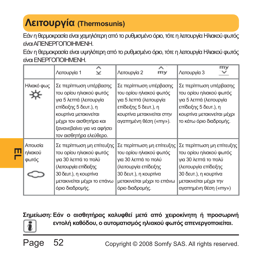# **Λειτουργία (Thermosunis)**

Εάν η θερμοκρασία είναι χαμηλότερη από το ρυθμισμένο όριο, τότε η λειτουργία Ηλιακού φωτός είναιΑΠΕΝΕΡΓΟΠΟΙΗΜΕΝΗ.

Εάν η θερμοκρασία είναι υψηλότερη από το ρυθμισμένο όριο, τότε η λειτουργία Ηλιακού φωτός είναιΕΝΕΡΓΟΠΟΙΗΜΕΝΗ.

|                             | Λειτουργία 1                                                                                                                                                                                                       | ᄉ<br>$\checkmark$ | Λειτουργία 2                                                                                                                                                                     | ᄉ<br>my | Λειτουργία 3                                                                                                                                                                      | my |
|-----------------------------|--------------------------------------------------------------------------------------------------------------------------------------------------------------------------------------------------------------------|-------------------|----------------------------------------------------------------------------------------------------------------------------------------------------------------------------------|---------|-----------------------------------------------------------------------------------------------------------------------------------------------------------------------------------|----|
| Ηλιακό φως                  | Σε περίπτωση υπέρβασης<br>του ορίου ηλιακού φωτός<br>για 5 λεπτά (λειτουργία<br>επίδειξης 5 δευτ.), η<br>κουρτίνα μετακινείται<br>μέχρι τον αισθητήρα και<br>ξανανεβαίνει για να αφήσει<br>τον αισθητήρα ελεύθερο. |                   | Σε περίπτωση υπέρβασης<br>του ορίου ηλιακού φωτός<br>για 5 λεπτά (λειτουργία<br>επίδειξης 5 δευτ.), η<br>κουρτίνα μετακινείται στην<br>αγαπημένη θέση («my»).                    |         | Σε περίπτωση υπέρβασης<br>του ορίου ηλιακού φωτός<br>για 5 λεπτά (λειτουργία<br>επίδειξης 5 δευτ.), η<br>κουρτίνα μετακινείται μέχρι<br>το κάτω όριο διαδρομής.                   |    |
| Απουσία<br>ηλιακού<br>φωτός | Σε περίπτωση μη επίτευξης<br>του ορίου ηλιακού φωτός<br>για 30 λεπτά το πολύ<br>(λειτουργία επίδειξης<br>30 δευτ.), η κουρτίνα<br>μετακινείται μέχρι το επάνω<br>όριο διαδρομής.                                   |                   | Σε περίπτωση μη επίτευξης<br>του ορίου ηλιακού φωτός<br>για 30 λεπτά το πολύ<br>(λειτουργία επίδειξης<br>30 δευτ.), η κουρτίνα<br>μετακινείται μέχρι το επάνω<br>όριο διαδρομής. |         | Σε περίπτωση μη επίτευξης<br>του ορίου ηλιακού φωτός<br>για 30 λεπτά το πολύ<br>(λειτουργία επίδειξης<br>30 δευτ.), η κουρτίνα<br>μετακινείται μέχρι την<br>αγαπημένη θέση («my») |    |

**Σημείωση: Εάν ο αισθητήρας καλυφθεί μετά από χειροκίνητη ή προσωρινή**



**EL**

**εντολή καθόδου, ο αυτοματισμός ηλιακού φωτός απενεργοποιείται.**

Page 52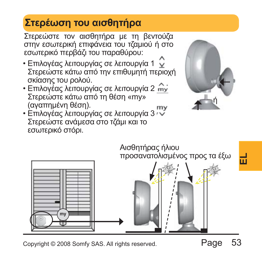# **Στερέωση του αισθητήρα**

Στερεώστε τον αισθητήρα με τη βεντούζα στην εσωτερική επιφάνεια του τζαμιού ή στο εσωτερικό περβάζι του παραθύρου:

- Επιλογέας λειτουργίας σε λειτουργία 1 Στερεώστε κάτω από την επιθυμητή περιοχή σκίασης του ρολού.
- Επιλογέας λειτουργίας σε λειτουργία 2 Στερεώστε κάτω από τη θέση «my» (αγαπημένη θέση).
- Επιλογέας λειτουργίας σε λειτουργία 3 Στερεώστε ανάμεσα στο τζάμι και το εσωτερικό στόρι.



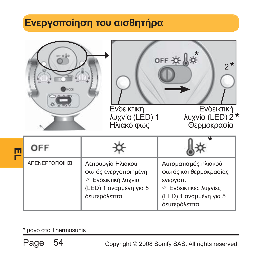# **Ενεργοποίηση του αισθητήρα**

|                | Ενδεικτική<br>λυχνία (LED) 1<br>Ηλιακό φως                                                                        | OFF #<br>$2*$<br>Ενδεικτική<br>λυχνία (LED) 2*<br>Θερμοκρασία                                                                                |
|----------------|-------------------------------------------------------------------------------------------------------------------|----------------------------------------------------------------------------------------------------------------------------------------------|
| OFF            |                                                                                                                   |                                                                                                                                              |
| ΑΠΕΝΕΡΓΟΠΟΙΗΣΗ | Λειτουργία Ηλιακού<br>φωτός ενεργοποιημένη<br><b>Ενδεικτική λυχνία</b><br>(LED) 1 αναμμένη για 5<br>δευτερόλεπτα. | Αυτοματισμός ηλιακού<br>φωτός και θερμοκρασίας<br>ενεργοπ.<br><b><i>A</i></b> Ενδεικτικές λυχνίες<br>(LED) 1 αναμμένη για 5<br>δευτερόλεπτα. |

\* μόνο στο Thermosunis

Page 54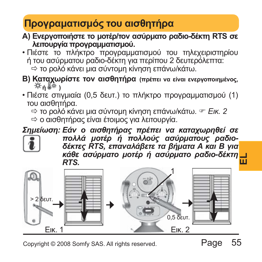# **Προγραματισμός του αισθητήρα**

- **A) Ενεργοποιήστε το μοτέρ/τον ασύρματο ραδιο-δέκτη RTS σε λειτουργία προγραμματισμού.**
- Πιέστε το πλήκτρο προγραμματισμού του τηλεχειριστηρίου ή του ασύρματου ραδιο-δέκτη για περίπου 2 δευτερόλεπτα: Ö το ρολό κάνει μια σύντομη κίνηση επάνω/κάτω.
- **B) Καταχωρίστε τον αισθητήρα (πρέπει να είναι ενεργοποιημένος, ή )**
- Πιέστε στιγμιαία (0,5 δευτ.) το πλήκτρο προγραμματισμού (1) του αισθητήρα.
	- $\Rightarrow$  το ρολό κάνει μια σύντομη κίνηση επάνω/κάτω.  $\circ$  *Εικ.* 2
	- Ö ο αισθητήρας είναι έτοιμος για λειτουργία.

*Σημείωση: Εάν ο αισθητήρας πρέπει να καταχωρηθεί σε*



*πολλά μοτέρ ή πολλούς ασύρματους ραδιοδέκτες RTS, επαναλάβετε τα βήματα A και B για κάθε ασύρματο μοτέρ ή ασύρματο ραδιο-δέκτη RTS.*

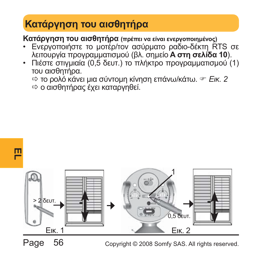# **Κατάργηση του αισθητήρα**

**Κατάργηση του αισθητήρα (πρέπει να είναι ενεργοποιημένος)**

- Ενεργοποιήστε το μοτέρ/τον ασύρματο ραδιο-δέκτη RTS σε λειτουργία προγραμματισμού (βλ. σημείο **A στη σελίδα 10**).
- Πιέστε στιγμιαία (0,5 δευτ.) το πλήκτρο προγραμματισμού (1) του αισθητήρα.

 $\Rightarrow$  το ρολό κάνει μια σύντομη κίνηση επάνω/κάτω. <sup>☞</sup> Εικ. 2 Ö ο αισθητήρας έχει καταργηθεί.





Page 56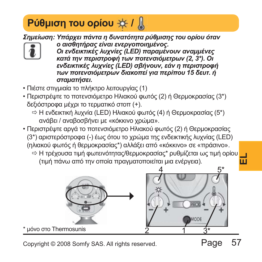# *Ρύθμιση του ορίου*  $\frac{1}{2}$  **/**  $\frac{1}{2}$

*Σημείωση: Υπάρχει πάντα η δυνατότητα ρύθμισης του ορίου όταν*



*ο αισθητήρας είναι ενεργοποιημένος. Οι ενδεικτικές λυχνίες (LED) παραμένουν αναμμένες κατά την περιστροφή των ποτενσιόμετρων (2, 3\*). Οι ενδεικτικές λυχνίες (LED) σβήνουν, εάν η περιστροφή των ποτενσιόμετρων διακοπεί για περίπου 15 δευτ. ή σταματήσει.*

- Πιέστε στιγμιαία το πλήκτρο λειτουργίας (1)
- Περιστρέψτε το ποτενσιόμετρο Ηλιακού φωτός (2) ή Θερμοκρασίας (3\*) δεξιόστροφα μέχρι το τερματικό στοπ (+).
	- $\Rightarrow$  Η ενδεικτική λυχνία (LED) Ηλιακού φωτός (4) ή Θερμοκρασίας (5\*) ανάβει / αναβοσβήνει με «κόκκινο χρώμα».
- Περιστρέψτε αργά το ποτενσιόμετρο Ηλιακού φωτός (2) ή Θερμοκρασίας (3\*) αριστερόστροφα (-) έως ότου το χρώμα της ενδεικτικής λυχνίας (LED) (ηλιακού φωτός ή θερμοκρασίας\*) αλλάξει από «κόκκινο» σε «πράσινο».
	- .<br>⇔ Η τρέχουσα τιμή φωτεινότητας/θερμοκρασίας\* ρυθμίζεται ως τιμή ορίου <mark>ο μ</mark> (τιμή πάνω από την οποία πραγματοποιείται μια ενέργεια).



Copyright © 2008 Somfy SAS. All rights reserved.

\* μόνο στο Thermosunis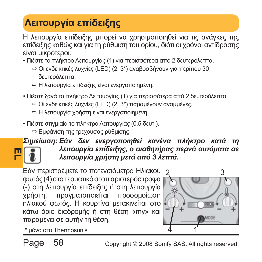# **Λειτουργία επίδειξης**

Η λειτουργία επίδειξης μπορεί να χρησιμοποιηθεί για τις ανάγκες της επίδειξης καθώς και για τη ρύθμιση του ορίου, διότι οι χρόνοι αντίδρασης είναι μικρότεροι.

- Πιέστε το πλήκτρο Λειτουργίας (1) για περισσότερα από 2 δευτερόλεπτα.
	- Ö Οι ενδεικτικές λυχνίες (LED) (2, 3\*) αναβοσβήνουν για περίπου 30 δευτερόλεπτα.
	- Ö Η λειτουργία επίδειξης είναι ενεργοποιημένη.
- Πιέστε ξανά το πλήκτρο Λειτουργίας (1) για περισσότερα από 2 δευτερόλεπτα.
	- $\Rightarrow$  Οι ενδεικτικές λυχνίες (LED) (2, 3\*) παραμένουν αναμμένες.
	- Ö Η λειτουργία χρήστη είναι ενεργοποιημένη.
- Πιέστε στιγμιαία το πλήκτρο Λειτουργίας (0,5 δευτ.).
	- Ö Εμφάνιση της τρέχουσας ρύθμισης

#### **EL** *Σημείωση: Εάν δεν ενεργοποιηθεί κανένα πλήκτρο κατά τη λειτουργία επίδειξης, ο αισθητήρας περνά αυτόματα σε λειτουργία χρήστη μετά από 3 λεπτά.*

Εάν περιστρέψετε το ποτενσιόμετρο Ηλιακού φωτός (4) στοτερματικόστοπαριστερόστροφα (-) στη λειτουργία επίδειξης ή στη λειτουργία χρήστη, πραγματοποιείται προσομοίωση ηλιακού φωτός. Η κουρτίνα μετακινείται στο κάτω όριο διαδρομής ή στη θέση «my» και παραμένει σε αυτήν τη θέση.



\* μόνο στο Thermosunis 1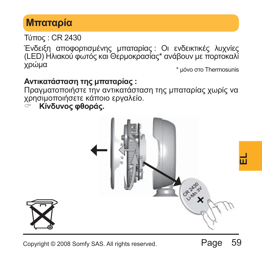# **Μπαταρία**

Τύπος : CR 2430

Ένδειξη αποφορτισμένης μπαταρίας : Οι ενδεικτικές λυχνίες (LED) Ηλιακού φωτός και Θερμοκρασίας\* ανάβουν με πορτοκαλί χρώμα \* μόνο στο Thermosunis

#### **Αντικατάσταση της μπαταρίας :**

Πραγματοποιήστε την αντικατάσταση της μπαταρίας χωρίς να χρησιμοποιήσετε κάποιο εργαλείο.

& **Κίνδυνος φθοράς.**

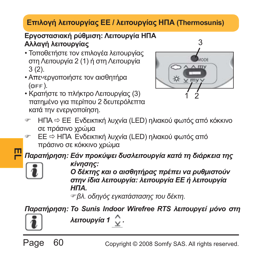#### **Επιλογή λειτουργίας ΕΕ / λειτουργίας ΗΠΑ (Thermosunis)**

#### **Εργοστασιακή ρύθμιση: Λειτουργία ΗΠΑ Αλλαγή λειτουργίας**

- Τοποθετήστε τον επιλογέα λειτουργίας στη Λειτουργία 2 (1) ή στη Λειτουργία 3 (2).
- Απενεργοποιήστε τον αισθητήρα  $(OFF)$ .
- Κρατήστε το πλήκτρο Λειτουργίας (3) πατημένο για περίπου 2 δευτερόλεπτα κατά την ενεργοποίηση.



- ΗΠΑ Φ ΕΕ Ενδεικτική λυχνία (LED) ηλιακού φωτός από κόκκινο σε πράσινο χρώμα
- ) ΕΕ Ö ΗΠΑ Ενδεικτική λυχνία (LED) ηλιακού φωτός από πράσινο σε κόκκινο χρώμα

**EL** *Παρατήρηση: Εάν προκύψει δυσλειτουργία κατά τη διάρκεια της*



*κίνησης: Ο δέκτης και ο αισθητήρας πρέπει να ρυθμιστούν στην ίδια λειτουργία: λειτουργία ΕΕ ή λειτουργία ΗΠΑ.*

)*βλ. οδηγός εγκατάστασης του δέκτη.*

*Παρατήρηση: Το Sunis Indoor Wirefree RTS λειτουργεί μόνο στη*



Page 60

*λειτουργία 1 .*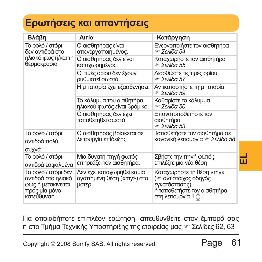# **Ερωτήσεις και απαντήσεις**

| Βλάβη                                                                                                                                                                                                                                                                                          | Αιτία                                                    | Κατάργηση                                                                                                                             |   |  |
|------------------------------------------------------------------------------------------------------------------------------------------------------------------------------------------------------------------------------------------------------------------------------------------------|----------------------------------------------------------|---------------------------------------------------------------------------------------------------------------------------------------|---|--|
| Το ρολό / στόρι<br>δεν αντιδρά στο                                                                                                                                                                                                                                                             | Ο αισθητήρας είναι<br>απενεργοποιημένος.                 | Ενεργοποιήστε τον αισθητήρα<br>☞ Σελίδα 54                                                                                            |   |  |
| ηλιακό φως ή/και τη<br>θερμοκρασία                                                                                                                                                                                                                                                             | Ο αισθητήρας δεν είναι<br>καταχωρημένος.                 | Καταχωρήστε τον αισθητήρα<br>☞ Σελίδα 55                                                                                              |   |  |
|                                                                                                                                                                                                                                                                                                | Οι τιμές ορίου δεν έχουν<br>ρυθμιστεί σωστά.             | Διορθώστε τις τιμές ορίου<br>☞ Σελίδα 57                                                                                              |   |  |
|                                                                                                                                                                                                                                                                                                | Η μπαταρία έχει εξασθενήσει.                             | Αντικαταστήστε τη μπαταρία<br>☞ Σελίδα 59                                                                                             |   |  |
|                                                                                                                                                                                                                                                                                                | Το κάλυμμα του αισθητήρα<br>ηλιακού φωτός είναι βρόμικο. | Καθαρίστε το κάλυμμα<br>☞ Σελίδα 50                                                                                                   |   |  |
|                                                                                                                                                                                                                                                                                                | Ο αισθητήρας δεν έχει<br>τοποθετηθεί σωστά.              | Επανατοποθετήστε τον<br>αισθητήρα<br>☞ Σελίδα 53                                                                                      |   |  |
| Το ρολό / στόρι<br>αντιδρά πολύ<br>συχνά                                                                                                                                                                                                                                                       | Ο αισθητήρας βρίσκεται σε<br>λειτουργία επίδειξης.       | Τοποθετήστε τον αισθητήρα σε<br>κανονική λειτουργία το Σελίδα 58                                                                      |   |  |
| Το ρολό / στόρι<br>αντιδρά εσφαλμένα                                                                                                                                                                                                                                                           | Μια δυνατή πηγή φωτός<br>επηρεάζει τον αισθητήρα.        | Σβήστε την πηγή φωτός,<br>επιλέξτε μια νέα θέση                                                                                       | ᆔ |  |
| Το ρολό / στόρι δεν<br>Δεν έχει καταχωρηθεί καμία<br>Καταχωρήστε τη θέση «my»<br>( · αντίστοιχος οδηγός<br>αντιδρά στο ηλιακό<br>αγαπημένη θέση («my») στο<br>φως ή μετακινείται<br>εγκατάστασης),<br>μοτέρ.<br>ή τοποθετήστε τον αισθητήρα<br>προς μία μόνο<br>στη λειτουργία 1<br>κατεύθυνση |                                                          |                                                                                                                                       |   |  |
|                                                                                                                                                                                                                                                                                                |                                                          | Για οποιαδήποτε επιπλέον ερώτηση, απευθυνθείτε στον έμπορό σας<br>ή στο Τμήμα Τεχνικής Υποστήριξης της εταιρείας μας ☞ Σελίδες 62, 63 |   |  |
| 61<br>Page<br>Copyright © 2008 Somfy SAS. All rights reserved.                                                                                                                                                                                                                                 |                                                          |                                                                                                                                       |   |  |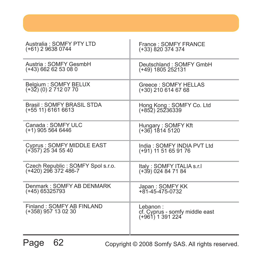| Australia: SOMFY PTY LTD                         | France: SOMFY FRANCE                                             |
|--------------------------------------------------|------------------------------------------------------------------|
| (+61) 2 9638 0744                                | (+33) 820 374 374                                                |
| Austria: SOMFY GesmbH                            | Deutschland: SOMFY GmbH                                          |
| (+43) 662 62 53 08 0                             | (+49) 1805 252131                                                |
| Belaium: SOMFY BELUX                             | Greece: SOMFY HELLAS                                             |
| (+32) (0) 2 712 07 70                            | (+30) 210 614 67 68                                              |
| Brasil: SOMFY BRASIL STDA                        | Hong Kong: SOMFY Co. Ltd                                         |
| (+55 11) 6161 6613                               | (+852) 25236339                                                  |
| Canada: SOMFY ULC                                | Hungary: SOMFY Kft                                               |
| (+1) 905 564 6446                                | $(+36)$ 1814 5120                                                |
| Cyprus: SOMFY MIDDLE EAST                        | India: SOMFY INDIA PVT Ltd                                       |
| (+357) 25 34 55 40                               | (+91) 11 51 65 91 76                                             |
| Czech Republic: SOMFY Spol s.r.o.                | Italy: SOMFY ITALIA s.r.I                                        |
| (+420) 296 372 486-7                             | (+39) 024 84 71 84                                               |
| Denmark: SOMFY AB DENMARK                        | Japan: SOMFY KK                                                  |
| (+45) 65325793                                   | $+81 - 45 - 475 - 0732$                                          |
| Finland: SOMFY AB FINLAND<br>(+358) 957 13 02 30 | Lebanon:<br>cf. Cyprus - somfy middle east<br>$(+961)$ 1 391 224 |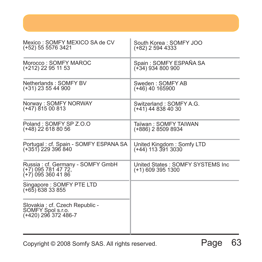| Mexico: SOMFY MEXICO SA de CV                                                  | South Korea: SOMFY JOO                                |
|--------------------------------------------------------------------------------|-------------------------------------------------------|
| (+52) 55 5576 3421                                                             | (+82) 2 594 4333                                      |
| Morocco: SOMEY MAROC                                                           | Spain: SOMFY ESPAÑA SA                                |
| (+212) 22 95 11 53                                                             | (+34) 934 800 900                                     |
| Netherlands: SOMFY BV                                                          | Sweden: SOMFY AB                                      |
| (+31) 23 55 44 900                                                             | (+46) 40 165900                                       |
| Norway: SOMFY NORWAY                                                           | Switzerland: SOMFY A.G.                               |
| (+47) 815 00 813                                                               | (+41) 44 838 40 30                                    |
| Poland: SOMEY SP Z.O.O                                                         | Taïwan: SOMFY TAIWAN                                  |
| (+48) 22 618 80 56                                                             | (+886) 2 8509 8934                                    |
| Portugal: cf. Spain - SOMFY ESPANA SA                                          | United Kingdom: Somfy LTD                             |
| (+351) 229 396 840                                                             | (+44) 113 391 3030                                    |
| Russia : cf. Germany - SOMFY GmbH<br>(+7) 095 781 47 72,<br>(+7) 095 360 41 86 | United States: SOMFY SYSTEMS Inc<br>(+1) 609 395 1300 |
| Singapore: SOMFY PTE LTD<br>$(+65)$ 638 33 855                                 |                                                       |
| Slovakia : cf. Czech Republic -<br>SOMFY Spol s.r.o.<br>(+420) 296 372 486-7   |                                                       |